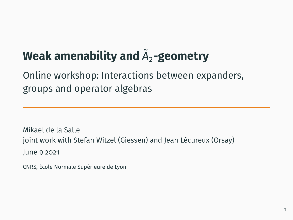# **Weak amenability and** *A*˜ <sup>2</sup>**-geometry**

## Online workshop: Interactions between expanders, groups and operator algebras

Mikael de la Salle joint work with Stefan Witzel (Giessen) and Jean Lécureux (Orsay) June 9 2021

CNRS, École Normale Supérieure de Lyon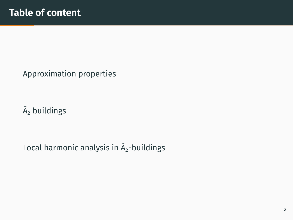[Approximation properties](#page-2-0)

 $\tilde{A}_2$  [buildings](#page-9-0)

[Local harmonic analysis in](#page-20-0)  $\tilde{A}_2$ -buildings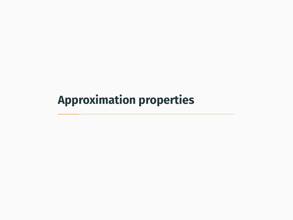# <span id="page-2-0"></span>**[Approximation properties](#page-2-0)**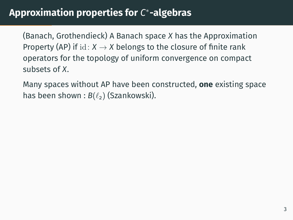## **Approximation properties for** *C* ∗ **-algebras**

(Banach, Grothendieck) A Banach space *X* has the Approximation Property (AP) if  $id: X \rightarrow X$  belongs to the closure of finite rank operators for the topology of uniform convergence on compact subsets of *X*.

Many spaces without AP have been constructed, **one** existing space has been shown :  $B(\ell_2)$  (Szankowski).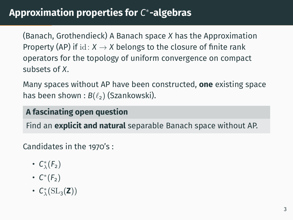## **Approximation properties for** *C* ∗ **-algebras**

(Banach, Grothendieck) A Banach space *X* has the Approximation Property (AP) if  $id: X \rightarrow X$  belongs to the closure of finite rank operators for the topology of uniform convergence on compact subsets of *X*.

Many spaces without AP have been constructed, **one** existing space has been shown :  $B(\ell_2)$  (Szankowski).

**A fascinating open question**

Find an **explicit and natural** separable Banach space without AP.

Candidates in the 1970's :

- $C^*_{\lambda}(F_2)$
- *C* ∗ (*F*2)
- *C* ∗ λ (SL3(**Z**))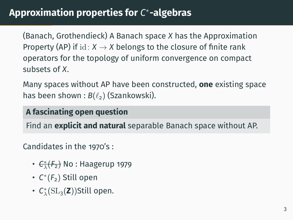## **Approximation properties for** *C* ∗ **-algebras**

(Banach, Grothendieck) A Banach space *X* has the Approximation Property (AP) if  $id: X \rightarrow X$  belongs to the closure of finite rank operators for the topology of uniform convergence on compact subsets of *X*.

Many spaces without AP have been constructed, **one** existing space has been shown :  $B(\ell_2)$  (Szankowski).

#### **A fascinating open question**

Find an **explicit and natural** separable Banach space without AP.

Candidates in the 1970's :

- <del>C<sub>λ</sub>(F<sub>2</sub>)</del> No : Haagerup 1979
- *C* ∗ (*F*2) Still open
- *C* ∗ λ (SL3(**Z**))Still open.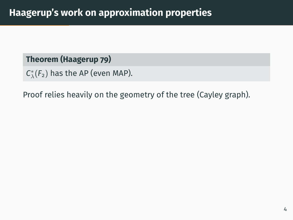#### **Theorem (Haagerup 79)**

```
C^*_{\lambda}(F_2) has the AP (even MAP).
```
Proof relies heavily on the geometry of the tree (Cayley graph).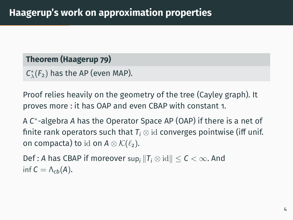#### **Theorem (Haagerup 79)**

```
C^*_{\lambda}(F_2) has the AP (even MAP).
```
Proof relies heavily on the geometry of the tree (Cayley graph). It proves more : it has OAP and even CBAP with constant 1.

A *C* ∗ -algebra *A* has the Operator Space AP (OAP) if there is a net of finite rank operators such that  $T_i \otimes id$  converges pointwise (iff unif. on compacta) to id on  $A \otimes K(\ell_2)$ .

Def : A has CBAP if moreover sup<sub>i</sub>  $||T_i \otimes id|| \leq C \leq \infty$ . And inf  $C = \Lambda_{ch}(A)$ .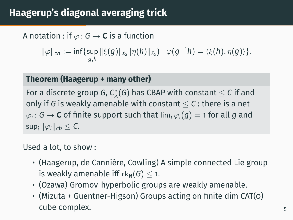## **Haagerup's diagonal averaging trick**

A notation : if  $\varphi$ :  $G \rightarrow C$  is a function

 $\|\varphi\|_{cb} := \inf\{\sup \|\xi(g)\|_{\ell_2} \|\eta(h)\|_{\ell_2}\} \mid \varphi(g^{-1}h) = \langle \xi(h), \eta(g) \rangle\}.$ *g*,*h*

#### **Theorem (Haagerup + many other)**

For a discrete group G,  $\mathcal{C}^*_\lambda(\mathsf{G})$  has CBAP with constant  $\leq \mathsf{C}$  if and only if G is weakly amenable with constant  $\leq C$  : there is a net  $\varphi_i\colon \mathsf{G} \to \mathsf{C}$  of finite support such that  $\lim_i \varphi_i(\boldsymbol{g}) = \mathsf{1}$  for all  $\boldsymbol{g}$  and  $\sup_i ||\varphi_i||_{cb} \leq C$ .

#### Used a lot, to show :

- (Haagerup, de Cannière, Cowling) A simple connected Lie group is weakly amenable iff  $rk_{\mathbf{R}}(G) < 1$ .
- (Ozawa) Gromov-hyperbolic groups are weakly amenable.
- (Mizuta + Guentner-Higson) Groups acting on finite dim CAT(0) cube complex.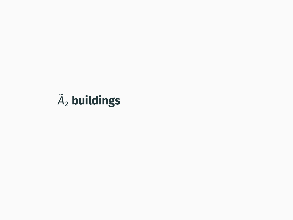# <span id="page-9-0"></span> $\tilde{A}_2$  [buildings](#page-9-0)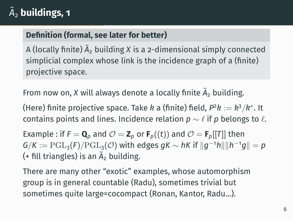## $\widetilde{\bm{A}}_{\mathsf{2}}$  buildings, 1

#### **Definition (formal, see later for better)**

A (locally finite)  $\widetilde{A}_2$  building X is a 2-dimensional simply connected simplicial complex whose link is the incidence graph of a (finite) projective space.

From now on, *X* will always denote a locally finite  $\tilde{A}_2$  building.

(Here) finite projective space. Take *k* a (finite) field, *P* <sup>2</sup>*k* := *k* <sup>3</sup>/*k* ∗ . It contains points and lines. Incidence relation  $p \sim \ell$  if *p* belongs to  $\ell$ .

Example : if  $F = \mathbf{Q}_p$  and  $\mathcal{O} = \mathbf{Z}_p$  or  $\mathbf{F}_p((t))$  and  $\mathcal{O} = \mathbf{F}_p[[T]]$  then  $G/K := \mathrm{PGL}_3(F)/\mathrm{PGL}_3(\mathcal{O})$  with edges  $gK \sim hK$  if  $||g^{-1}h|| ||h^{-1}g|| = p$ (+ fill triangles) is an  $\tilde{A}_2$  building.

There are many other "exotic" examples, whose automorphism group is in general countable (Radu), sometimes trivial but sometimes quite large=cocompact (Ronan, Kantor, Radu...).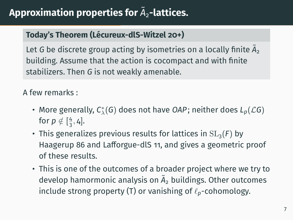## **Approximation properties for** *A*˜ <sup>2</sup>**-lattices.**

#### **Today's Theorem (Lécureux-dlS-Witzel 20+)**

Let *G* be discrete group acting by isometries on a locally finite  $\tilde{A}_2$ building. Assume that the action is cocompact and with finite stabilizers. Then *G* is not weakly amenable.

A few remarks :

- More generally, *C* ∗ λ (*G*) does not have *OAP*; neither does *Lp*(L*G*) for  $p \notin [\frac{4}{3}, 4]$ .
- This generalizes previous results for lattices in  $SL<sub>3</sub>(F)$  by Haagerup 86 and Lafforgue-dlS 11, and gives a geometric proof of these results.
- This is one of the outcomes of a broader project where we try to develop hamormonic analysis on  $\tilde{A}_2$  buildings. Other outcomes include strong property (T) or vanishing of  $\ell_p$ -cohomology.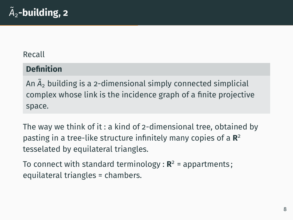#### Recall

#### **Definition**

An  $\tilde{A}_2$  building is a 2-dimensional simply connected simplicial complex whose link is the incidence graph of a finite projective space.

The way we think of it : a kind of 2-dimensional tree, obtained by pasting in a tree-like structure infinitely many copies of a **R** 2 tesselated by equilateral triangles.

To connect with standard terminology : **R** <sup>2</sup> = appartments ; equilateral triangles = chambers.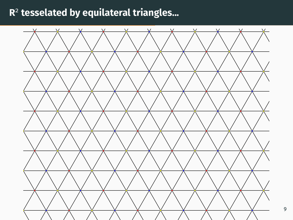### **R** 2 **tesselated by equilateral triangles...**



9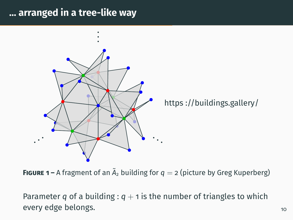#### **... arranged in a tree-like way**



**FIGURE 1** – A fragment of an  $\tilde{A}_2$  building for  $q = 2$  (picture by Greg Kuperberg)

Parameter *q* of a building :  $q + 1$  is the number of triangles to which every edge belongs. The set of the set of the set of the set of the set of the set of the set of the set of the set of the set of the set of the set of the set of the set of the set of the set of the set of the set of the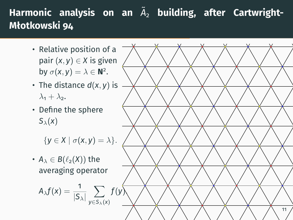## Harmonic analysis on an  $\widetilde{A}_2$  building, after Cartwright-**Młotkowski 94**

- Relative position of a pair  $(x, y) \in X$  is given by  $\sigma(x, y) = \lambda \in \mathbb{N}^2$ .
- The distance  $d(x, y)$  is  $\lambda_1 + \lambda_2$ .
- Define the sphere  $S_\lambda(x)$

 $\{y \in X \mid \sigma(x, y) = \lambda\}.$ 

•  $A_{\lambda} \in B(\ell_2(X))$  the averaging operator

$$
A_{\lambda}f(x) = \frac{1}{|S_{\lambda}|} \sum_{y \in S_{\lambda}(x)}
$$

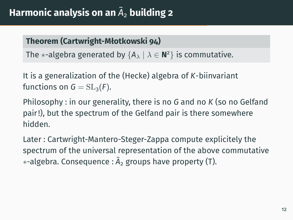## **Harmonic analysis on an** *A*˜ <sup>2</sup> **building 2**

#### **Theorem (Cartwright-Młotkowski 94)**

The  $\ast$ -algebra generated by  $\{A_\lambda\mid\lambda\in\mathbf{N}^2\}$  is commutative.

It is a generalization of the (Hecke) algebra of *K*-biinvariant functions on  $G = SL_3(F)$ .

Philosophy : in our generality, there is no *G* and no *K* (so no Gelfand pair !), but the spectrum of the Gelfand pair is there somewhere hidden.

Later : Cartwright-Mantero-Steger-Zappa compute explicitely the spectrum of the universal representation of the above commutative ∗-algebra. Consequence : *A*˜ <sup>2</sup> groups have property (T).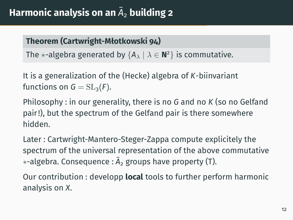## **Harmonic analysis on an** *A*˜ <sup>2</sup> **building 2**

#### **Theorem (Cartwright-Młotkowski 94)**

The  $\ast$ -algebra generated by  $\{A_\lambda\mid\lambda\in\mathbf{N}^2\}$  is commutative.

It is a generalization of the (Hecke) algebra of *K*-biinvariant functions on  $G = SL_3(F)$ .

Philosophy : in our generality, there is no *G* and no *K* (so no Gelfand pair !), but the spectrum of the Gelfand pair is there somewhere hidden.

Later : Cartwright-Mantero-Steger-Zappa compute explicitely the spectrum of the universal representation of the above commutative ∗-algebra. Consequence : *A*˜ <sup>2</sup> groups have property (T).

Our contribution : developp **local** tools to further perform harmonic analysis on *X*.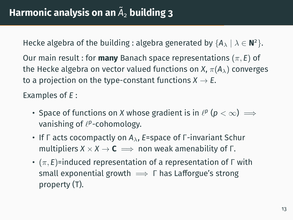Hecke algebra of the building : algebra generated by  $\{A_{\lambda} \mid \lambda \in \mathbf{N}^2\}$ .

Our main result : for **many** Banach space representations (π, *E*) of the Hecke algebra on vector valued functions on *X*,  $\pi(A_\lambda)$  converges to a projection on the type-constant functions  $X \rightarrow E$ .

Examples of *E* :

- Space of functions on *X* whose gradient is in  $\ell^p$  ( $p < \infty$ )  $\implies$ vanishing of  $\ell^p$ -cohomology.
- If Γ acts cocompactly on  $A_{\lambda}$ , *E*=space of Γ-invariant Schur multipliers  $X \times X \to \mathbf{C} \implies$  non weak amenability of  $\Gamma$ .
- (π, *E*)=induced representation of a representation of Γ with small exponential growth  $\implies \Gamma$  has Lafforgue's strong property (T).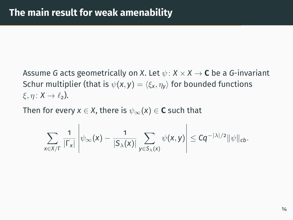Assume *G* acts geometrically on *X*. Let  $\psi$  :  $X \times X \rightarrow C$  be a *G*-invariant Schur multiplier (that is  $\psi(x, y) = \langle \xi_x, \eta_y \rangle$  for bounded functions  $\xi, \eta: X \to \ell_2$ ).

Then for every  $x \in X$ , there is  $\psi_{\infty}(x) \in \mathbf{C}$  such that

$$
\sum_{x \in X/\Gamma} \frac{1}{|\Gamma_x|} \left| \psi_\infty(x) - \frac{1}{|S_\lambda(x)|} \sum_{y \in S_\lambda(x)} \psi(x,y) \right| \leq Cq^{-|\lambda|/2} ||\psi||_{cb}.
$$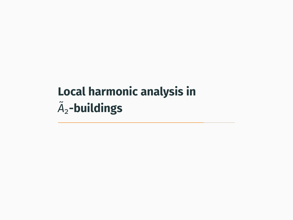# <span id="page-20-0"></span>**[Local harmonic analysis in](#page-20-0)**  $\widetilde{A}_2$ [-buildings](#page-20-0)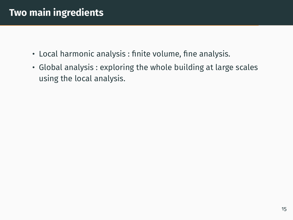## **Two main ingredients**

- Local harmonic analysis : finite volume, fine analysis.
- Global analysis : exploring the whole building at large scales using the local analysis.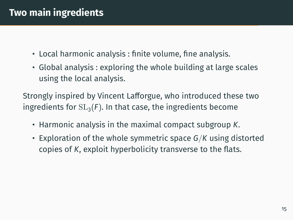## **Two main ingredients**

- Local harmonic analysis : finite volume, fine analysis.
- Global analysis : exploring the whole building at large scales using the local analysis.

Strongly inspired by Vincent Lafforgue, who introduced these two ingredients for  $SL<sub>3</sub>(F)$ . In that case, the ingredients become

- Harmonic analysis in the maximal compact subgroup *K*.
- Exploration of the whole symmetric space *G*/*K* using distorted copies of *K*, exploit hyperbolicity transverse to the flats.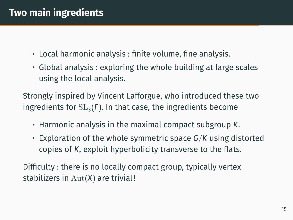## **Two main ingredients**

- Local harmonic analysis : finite volume, fine analysis.
- Global analysis : exploring the whole building at large scales using the local analysis.

Strongly inspired by Vincent Lafforgue, who introduced these two ingredients for  $SL<sub>3</sub>(F)$ . In that case, the ingredients become

- Harmonic analysis in the maximal compact subgroup *K*.
- Exploration of the whole symmetric space *G*/*K* using distorted copies of *K*, exploit hyperbolicity transverse to the flats.

Difficulty : there is no locally compact group, typically vertex stabilizers in Aut(*X*) are trivial !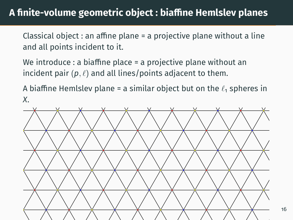### A finite-volume geometric object : biaffine Hemlslev planes

Classical object : an affine plane = a projective plane without a line and all points incident to it.

We introduce : a biaffine place  $=$  a projective plane without an incident pair  $(p, \ell)$  and all lines/points adjacent to them.

A biaffine Hemlslev plane = a similar object but on the  $\ell_1$  spheres in *X*.



16